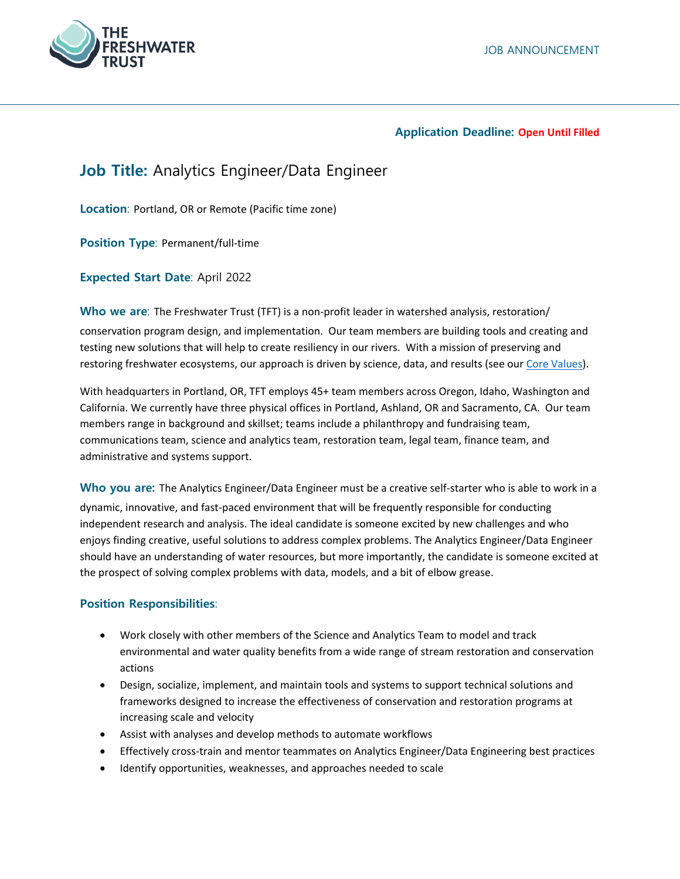

#### **Application Deadline: Open Until Filled**

# **Job Title:** Analytics Engineer/Data Engineer

**Location**: Portland, OR or Remote (Pacific time zone)

**Position Type**: Permanent/full‐time

**Expected Start Date**: April 2022

**Who we are:** The Freshwater Trust (TFT) is a non-profit leader in watershed analysis, restoration/ conservation program design, and implementation. Our team members are building tools and creating and testing new solutions that will help to create resiliency in our rivers. With a mission of preserving and restoring freshwater ecosystems, our approach is driven by science, data, and results (see our Core Values).

With headquarters in Portland, OR, TFT employs 45+ team members across Oregon, Idaho, Washington and California. We currently have three physical offices in Portland, Ashland, OR and Sacramento, CA. Our team members range in background and skillset; teams include a philanthropy and fundraising team, communications team, science and analytics team, restoration team, legal team, finance team, and administrative and systems support.

**Who you are:** The Analytics Engineer/Data Engineer must be a creative self‐starter who is able to work in a dynamic, innovative, and fast‐paced environment that will be frequently responsible for conducting independent research and analysis. The ideal candidate is someone excited by new challenges and who enjoys finding creative, useful solutions to address complex problems. The Analytics Engineer/Data Engineer should have an understanding of water resources, but more importantly, the candidate is someone excited at the prospect of solving complex problems with data, models, and a bit of elbow grease.

## **Position Responsibilities**:

- Work closely with other members of the Science and Analytics Team to model and track environmental and water quality benefits from a wide range of stream restoration and conservation actions
- Design, socialize, implement, and maintain tools and systems to support technical solutions and frameworks designed to increase the effectiveness of conservation and restoration programs at increasing scale and velocity
- Assist with analyses and develop methods to automate workflows
- Effectively cross-train and mentor teammates on Analytics Engineer/Data Engineering best practices
- Identify opportunities, weaknesses, and approaches needed to scale